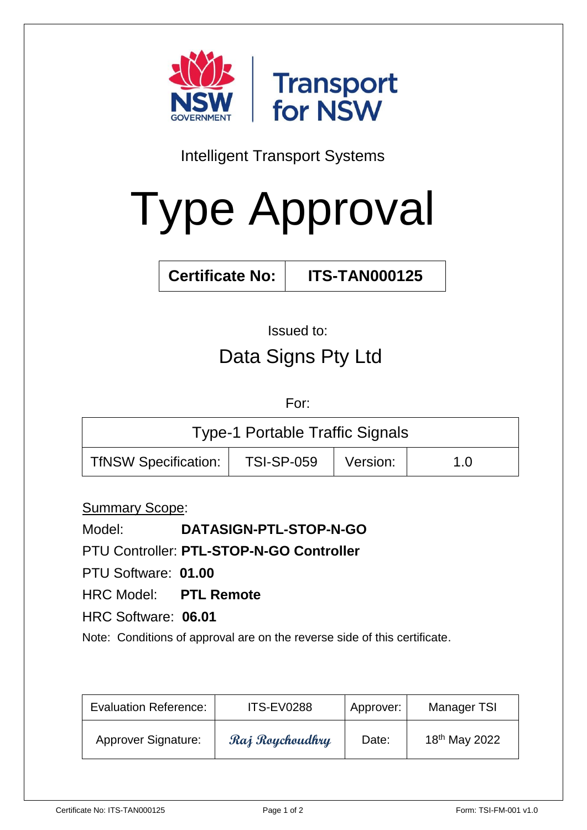

Intelligent Transport Systems

# Type Approval

**Certificate No: ITS-TAN000125**

# Issued to: Data Signs Pty Ltd

For:

| <b>Type-1 Portable Traffic Signals</b> |                   |          |     |  |  |
|----------------------------------------|-------------------|----------|-----|--|--|
| <b>TfNSW Specification:</b>            | <b>TSI-SP-059</b> | Version: | 1.0 |  |  |

Summary Scope:

Model: **DATASIGN-PTL-STOP-N-GO**

PTU Controller: **PTL-STOP-N-GO Controller**

PTU Software: **01.00**

HRC Model: **PTL Remote**

HRC Software: **06.01**

Note: Conditions of approval are on the reverse side of this certificate.

| <b>Evaluation Reference:</b> | <b>ITS-EV0288</b> | Approver: | Manager TSI               |
|------------------------------|-------------------|-----------|---------------------------|
| <b>Approver Signature:</b>   | Raj Roychoudhry   | Date:     | 18 <sup>th</sup> May 2022 |